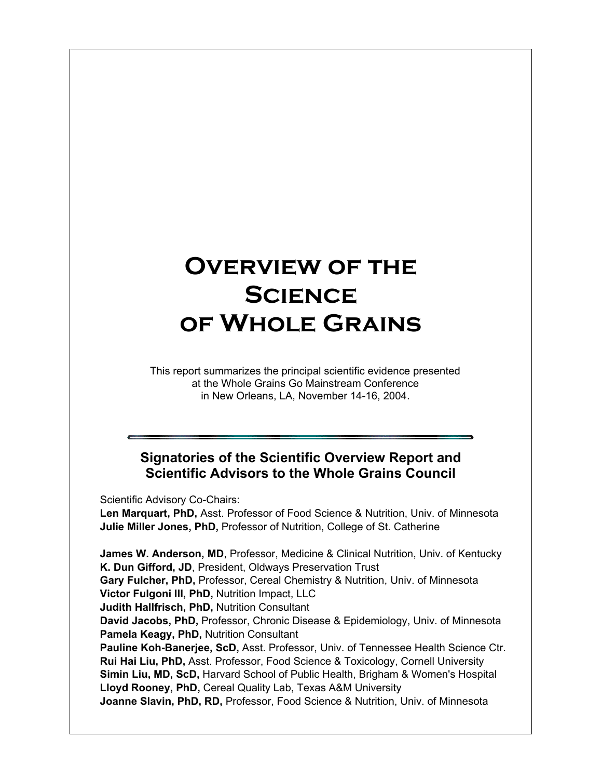# **Overview of the Science of Whole Grains**

This report summarizes the principal scientific evidence presented at the Whole Grains Go Mainstream Conference in New Orleans, LA, November 14-16, 2004.

### **Signatories of the Scientific Overview Report and Scientific Advisors to the Whole Grains Council**

Scientific Advisory Co-Chairs:

**Len Marquart, PhD,** Asst. Professor of Food Science & Nutrition, Univ. of Minnesota **Julie Miller Jones, PhD,** Professor of Nutrition, College of St. Catherine

**James W. Anderson, MD**, Professor, Medicine & Clinical Nutrition, Univ. of Kentucky **K. Dun Gifford, JD**, President, Oldways Preservation Trust **Gary Fulcher, PhD,** Professor, Cereal Chemistry & Nutrition, Univ. of Minnesota **Victor Fulgoni III, PhD,** Nutrition Impact, LLC **Judith Hallfrisch, PhD,** Nutrition Consultant **David Jacobs, PhD,** Professor, Chronic Disease & Epidemiology, Univ. of Minnesota **Pamela Keagy, PhD,** Nutrition Consultant **Pauline Koh-Banerjee, ScD,** Asst. Professor, Univ. of Tennessee Health Science Ctr. **Rui Hai Liu, PhD,** Asst. Professor, Food Science & Toxicology, Cornell University **Simin Liu, MD, ScD,** Harvard School of Public Health, Brigham & Women's Hospital **Lloyd Rooney, PhD,** Cereal Quality Lab, Texas A&M University **Joanne Slavin, PhD, RD,** Professor, Food Science & Nutrition, Univ. of Minnesota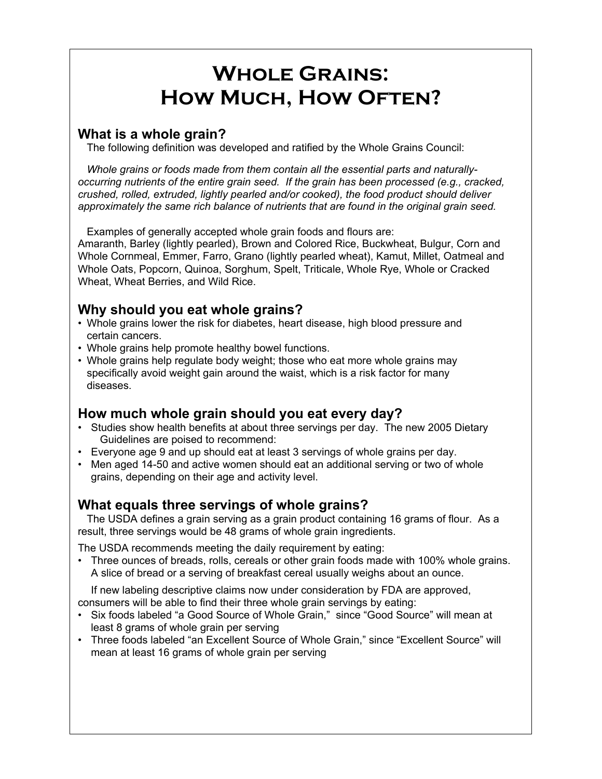# **Whole Grains: How Much, How Often?**

## **What is a whole grain?**

The following definition was developed and ratified by the Whole Grains Council:

*Whole grains or foods made from them contain all the essential parts and naturallyoccurring nutrients of the entire grain seed. If the grain has been processed (e.g., cracked, crushed, rolled, extruded, lightly pearled and/or cooked), the food product should deliver approximately the same rich balance of nutrients that are found in the original grain seed.*

Examples of generally accepted whole grain foods and flours are:

Amaranth, Barley (lightly pearled), Brown and Colored Rice, Buckwheat, Bulgur, Corn and Whole Cornmeal, Emmer, Farro, Grano (lightly pearled wheat), Kamut, Millet, Oatmeal and Whole Oats, Popcorn, Quinoa, Sorghum, Spelt, Triticale, Whole Rye, Whole or Cracked Wheat, Wheat Berries, and Wild Rice.

## **Why should you eat whole grains?**

- Whole grains lower the risk for diabetes, heart disease, high blood pressure and certain cancers.
- Whole grains help promote healthy bowel functions.
- Whole grains help regulate body weight; those who eat more whole grains may specifically avoid weight gain around the waist, which is a risk factor for many diseases.

## **How much whole grain should you eat every day?**

- Studies show health benefits at about three servings per day. The new 2005 Dietary Guidelines are poised to recommend:
- Everyone age 9 and up should eat at least 3 servings of whole grains per day.
- Men aged 14-50 and active women should eat an additional serving or two of whole grains, depending on their age and activity level.

### **What equals three servings of whole grains?**

The USDA defines a grain serving as a grain product containing 16 grams of flour. As a result, three servings would be 48 grams of whole grain ingredients.

The USDA recommends meeting the daily requirement by eating:

• Three ounces of breads, rolls, cereals or other grain foods made with 100% whole grains. A slice of bread or a serving of breakfast cereal usually weighs about an ounce.

If new labeling descriptive claims now under consideration by FDA are approved, consumers will be able to find their three whole grain servings by eating:

- Six foods labeled "a Good Source of Whole Grain," since "Good Source" will mean at least 8 grams of whole grain per serving
- Three foods labeled "an Excellent Source of Whole Grain," since "Excellent Source" will mean at least 16 grams of whole grain per serving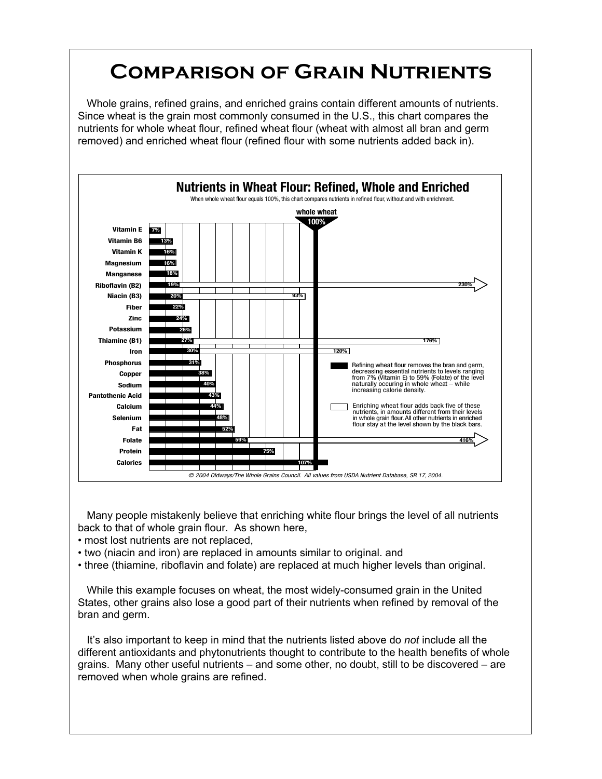## **Comparison of Grain Nutrients**

Whole grains, refined grains, and enriched grains contain different amounts of nutrients. Since wheat is the grain most commonly consumed in the U.S., this chart compares the nutrients for whole wheat flour, refined wheat flour (wheat with almost all bran and germ removed) and enriched wheat flour (refined flour with some nutrients added back in).



Many people mistakenly believe that enriching white flour brings the level of all nutrients back to that of whole grain flour. As shown here,

- most lost nutrients are not replaced,
- two (niacin and iron) are replaced in amounts similar to original. and
- three (thiamine, riboflavin and folate) are replaced at much higher levels than original.

While this example focuses on wheat, the most widely-consumed grain in the United States, other grains also lose a good part of their nutrients when refined by removal of the bran and germ.

It's also important to keep in mind that the nutrients listed above do *not* include all the different antioxidants and phytonutrients thought to contribute to the health benefits of whole grains. Many other useful nutrients – and some other, no doubt, still to be discovered – are removed when whole grains are refined.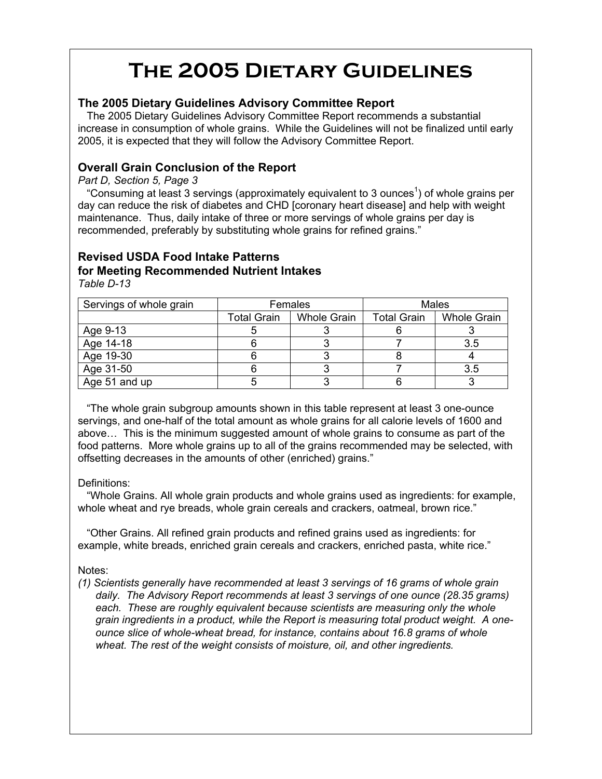# **The 2005 Dietary Guidelines**

### **The 2005 Dietary Guidelines Advisory Committee Report**

The 2005 Dietary Guidelines Advisory Committee Report recommends a substantial increase in consumption of whole grains. While the Guidelines will not be finalized until early 2005, it is expected that they will follow the Advisory Committee Report.

### **Overall Grain Conclusion of the Report**

*Part D, Section 5, Page 3*

"Consuming at least 3 servings (approximately equivalent to 3 ounces<sup>1</sup>) of whole grains per day can reduce the risk of diabetes and CHD [coronary heart disease] and help with weight maintenance. Thus, daily intake of three or more servings of whole grains per day is recommended, preferably by substituting whole grains for refined grains."

## **Revised USDA Food Intake Patterns for Meeting Recommended Nutrient Intakes**

*Table D-13*

| Servings of whole grain | Females            |                    | <b>Males</b>       |                    |
|-------------------------|--------------------|--------------------|--------------------|--------------------|
|                         | <b>Total Grain</b> | <b>Whole Grain</b> | <b>Total Grain</b> | <b>Whole Grain</b> |
| Age 9-13                |                    |                    |                    |                    |
| Age 14-18               |                    |                    |                    | 3.5                |
| Age 19-30               |                    |                    |                    |                    |
| Age 31-50               |                    |                    |                    | 3.5                |
| Age 51 and up           |                    |                    |                    |                    |

"The whole grain subgroup amounts shown in this table represent at least 3 one-ounce servings, and one-half of the total amount as whole grains for all calorie levels of 1600 and above… This is the minimum suggested amount of whole grains to consume as part of the food patterns. More whole grains up to all of the grains recommended may be selected, with offsetting decreases in the amounts of other (enriched) grains."

#### Definitions:

"Whole Grains. All whole grain products and whole grains used as ingredients: for example, whole wheat and rye breads, whole grain cereals and crackers, oatmeal, brown rice."

"Other Grains. All refined grain products and refined grains used as ingredients: for example, white breads, enriched grain cereals and crackers, enriched pasta, white rice."

#### Notes:

*(1) Scientists generally have recommended at least 3 servings of 16 grams of whole grain daily. The Advisory Report recommends at least 3 servings of one ounce (28.35 grams) each. These are roughly equivalent because scientists are measuring only the whole grain ingredients in a product, while the Report is measuring total product weight. A oneounce slice of whole-wheat bread, for instance, contains about 16.8 grams of whole wheat. The rest of the weight consists of moisture, oil, and other ingredients.*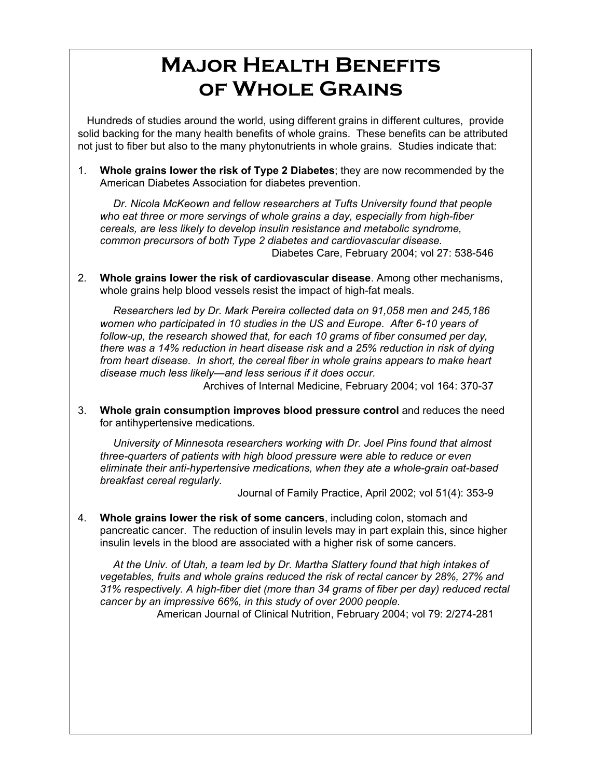## **Major Health Benefits of Whole Grains**

Hundreds of studies around the world, using different grains in different cultures, provide solid backing for the many health benefits of whole grains. These benefits can be attributed not just to fiber but also to the many phytonutrients in whole grains. Studies indicate that:

1. **Whole grains lower the risk of Type 2 Diabetes**; they are now recommended by the American Diabetes Association for diabetes prevention.

*Dr. Nicola McKeown and fellow researchers at Tufts University found that people who eat three or more servings of whole grains a day, especially from high-fiber cereals, are less likely to develop insulin resistance and metabolic syndrome, common precursors of both Type 2 diabetes and cardiovascular disease.* Diabetes Care, February 2004; vol 27: 538-546

2. **Whole grains lower the risk of cardiovascular disease**. Among other mechanisms, whole grains help blood vessels resist the impact of high-fat meals.

*Researchers led by Dr. Mark Pereira collected data on 91,058 men and 245,186 women who participated in 10 studies in the US and Europe. After 6-10 years of follow-up, the research showed that, for each 10 grams of fiber consumed per day, there was a 14% reduction in heart disease risk and a 25% reduction in risk of dying from heart disease. In short, the cereal fiber in whole grains appears to make heart disease much less likely—and less serious if it does occur.*

Archives of Internal Medicine, February 2004; vol 164: 370-37

3. **Whole grain consumption improves blood pressure control** and reduces the need for antihypertensive medications.

*University of Minnesota researchers working with Dr. Joel Pins found that almost three-quarters of patients with high blood pressure were able to reduce or even eliminate their anti-hypertensive medications, when they ate a whole-grain oat-based breakfast cereal regularly.*

Journal of Family Practice, April 2002; vol 51(4): 353-9

4. **Whole grains lower the risk of some cancers**, including colon, stomach and pancreatic cancer. The reduction of insulin levels may in part explain this, since higher insulin levels in the blood are associated with a higher risk of some cancers.

*At the Univ. of Utah, a team led by Dr. Martha Slattery found that high intakes of vegetables, fruits and whole grains reduced the risk of rectal cancer by 28%, 27% and 31% respectively. A high-fiber diet (more than 34 grams of fiber per day) reduced rectal cancer by an impressive 66%, in this study of over 2000 people.*

American Journal of Clinical Nutrition, February 2004; vol 79: 2/274-281